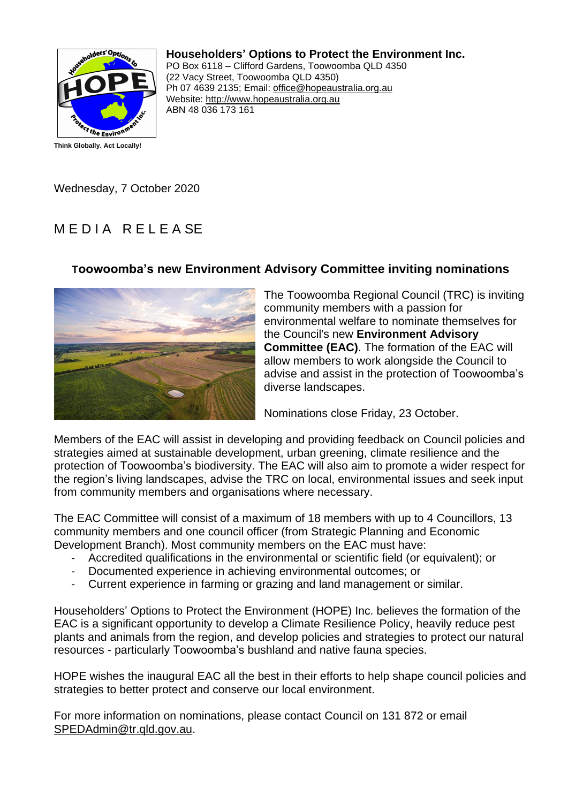

## **Householders' Options to Protect the Environment Inc.**

PO Box 6118 – Clifford Gardens, Toowoomba QLD 4350 (22 Vacy Street, Toowoomba QLD 4350) Ph 07 4639 2135; Email: office@hopeaustralia.org.au Website: http://www.hopeaustralia.org.au ABN 48 036 173 161

Wednesday, 7 October 2020

## MEDIA RELEASE

## **Toowoomba's new Environment Advisory Committee inviting nominations**



The Toowoomba Regional Council (TRC) is inviting community members with a passion for environmental welfare to nominate themselves for the Council's new **Environment Advisory Committee (EAC)**. The formation of the EAC will allow members to work alongside the Council to advise and assist in the protection of Toowoomba's diverse landscapes.

Nominations close Friday, 23 October.

Members of the EAC will assist in developing and providing feedback on Council policies and strategies aimed at sustainable development, urban greening, climate resilience and the protection of Toowoomba's biodiversity. The EAC will also aim to promote a wider respect for the region's living landscapes, advise the TRC on local, environmental issues and seek input from community members and organisations where necessary.

The EAC Committee will consist of a maximum of 18 members with up to 4 Councillors, 13 community members and one council officer (from Strategic Planning and Economic Development Branch). Most community members on the EAC must have:

- Accredited qualifications in the environmental or scientific field (or equivalent); or
- Documented experience in achieving environmental outcomes; or
- Current experience in farming or grazing and land management or similar.

Householders' Options to Protect the Environment (HOPE) Inc. believes the formation of the EAC is a significant opportunity to develop a Climate Resilience Policy, heavily reduce pest plants and animals from the region, and develop policies and strategies to protect our natural resources - particularly Toowoomba's bushland and native fauna species.

HOPE wishes the inaugural EAC all the best in their efforts to help shape council policies and strategies to better protect and conserve our local environment.

For more information on nominations, please contact Council on 131 872 or email SPEDAdmin@tr.qld.gov.au.